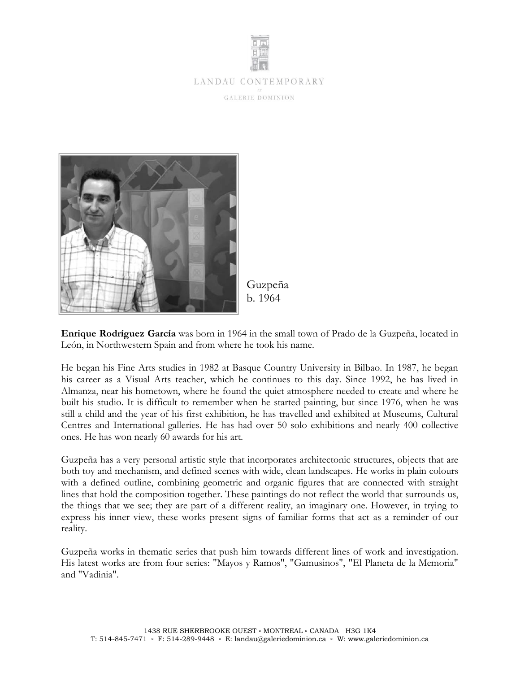

# LANDAU CONTEMPORARY

GALERIE DOMINION



Guzpeña b. 1964

**Enrique Rodríguez García** was born in 1964 in the small town of Prado de la Guzpeña, located in León, in Northwestern Spain and from where he took his name.

He began his Fine Arts studies in 1982 at Basque Country University in Bilbao. In 1987, he began his career as a Visual Arts teacher, which he continues to this day. Since 1992, he has lived in Almanza, near his hometown, where he found the quiet atmosphere needed to create and where he built his studio. It is difficult to remember when he started painting, but since 1976, when he was still a child and the year of his first exhibition, he has travelled and exhibited at Museums, Cultural Centres and International galleries. He has had over 50 solo exhibitions and nearly 400 collective ones. He has won nearly 60 awards for his art.

Guzpeña has a very personal artistic style that incorporates architectonic structures, objects that are both toy and mechanism, and defined scenes with wide, clean landscapes. He works in plain colours with a defined outline, combining geometric and organic figures that are connected with straight lines that hold the composition together. These paintings do not reflect the world that surrounds us, the things that we see; they are part of a different reality, an imaginary one. However, in trying to express his inner view, these works present signs of familiar forms that act as a reminder of our reality.

Guzpeña works in thematic series that push him towards different lines of work and investigation. His latest works are from four series: "Mayos y Ramos", "Gamusinos", "El Planeta de la Memoria" and "Vadinia".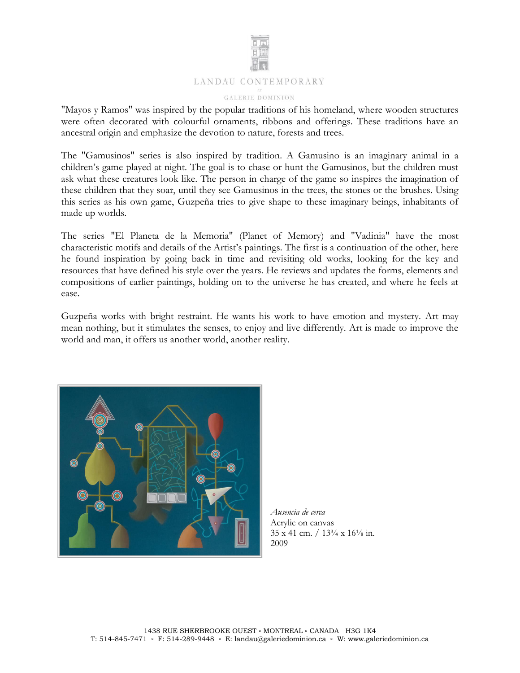

"Mayos y Ramos" was inspired by the popular traditions of his homeland, where wooden structures were often decorated with colourful ornaments, ribbons and offerings. These traditions have an ancestral origin and emphasize the devotion to nature, forests and trees.

The "Gamusinos" series is also inspired by tradition. A Gamusino is an imaginary animal in a children's game played at night. The goal is to chase or hunt the Gamusinos, but the children must ask what these creatures look like. The person in charge of the game so inspires the imagination of these children that they soar, until they see Gamusinos in the trees, the stones or the brushes. Using this series as his own game, Guzpeña tries to give shape to these imaginary beings, inhabitants of made up worlds.

The series "El Planeta de la Memoria" (Planet of Memory) and "Vadinia" have the most characteristic motifs and details of the Artist's paintings. The first is a continuation of the other, here he found inspiration by going back in time and revisiting old works, looking for the key and resources that have defined his style over the years. He reviews and updates the forms, elements and compositions of earlier paintings, holding on to the universe he has created, and where he feels at ease.

Guzpeña works with bright restraint. He wants his work to have emotion and mystery. Art may mean nothing, but it stimulates the senses, to enjoy and live differently. Art is made to improve the world and man, it offers us another world, another reality.



*Ausencia de cerca* Acrylic on canvas 35 x 41 cm. / 13¾ x 16⅛ in. 2009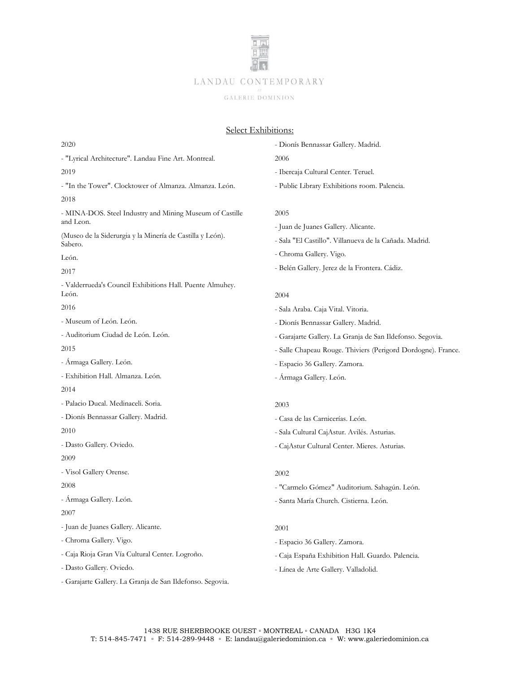

# Select Exhibitions:

#### 2020

- "Lyrical Architecture". Landau Fine Art. Montreal.

## 2019

- "In the Tower". Clocktower of Almanza. Almanza. León. 2018
- MINA-DOS. Steel Industry and Mining Museum of Castille and Leon.

(Museo de la Siderurgia y la Minería de Castilla y León). Sabero.

León.

2017

- Valderrueda's Council Exhibitions Hall. Puente Almuhey. León.

2016

- Museum of León. León.
- Auditorium Ciudad de León. León.
- 2015
- Ármaga Gallery. León.
- Exhibition Hall. Almanza. León.
- 2014
- Palacio Ducal. Medinaceli. Soria.
- Dionís Bennassar Gallery. Madrid.

2010

- Dasto Gallery. Oviedo.

2009

- Visol Gallery Orense.

2008

- Ármaga Gallery. León.

2007

- Juan de Juanes Gallery. Alicante.
- Chroma Gallery. Vigo.
- Caja Rioja Gran Vía Cultural Center. Logroño.
- Dasto Gallery. Oviedo.
- Garajarte Gallery. La Granja de San Ildefonso. Segovia.
- Dionís Bennassar Gallery. Madrid.
- 2006
- Ibercaja Cultural Center. Teruel.
- Public Library Exhibitions room. Palencia.

## 2005

- Juan de Juanes Gallery. Alicante.
- Sala "El Castillo". Villanueva de la Cañada. Madrid.
- Chroma Gallery. Vigo.
- Belén Gallery. Jerez de la Frontera. Cádiz.

## 2004

- Sala Araba. Caja Vital. Vitoria.
- Dionís Bennassar Gallery. Madrid.
- Garajarte Gallery. La Granja de San Ildefonso. Segovia.
- Salle Chapeau Rouge. Thiviers (Perigord Dordogne). France.
- Espacio 36 Gallery. Zamora.
- Ármaga Gallery. León.

## 2003

- Casa de las Carnicerías. León.
- Sala Cultural CajAstur. Avilés. Asturias.
- CajAstur Cultural Center. Mieres. Asturias.

## 2002

- "Carmelo Gómez" Auditorium. Sahagún. León.
- Santa María Church. Cistierna. León.

# 2001

- Espacio 36 Gallery. Zamora.
- Caja España Exhibition Hall. Guardo. Palencia.
- Línea de Arte Gallery. Valladolid.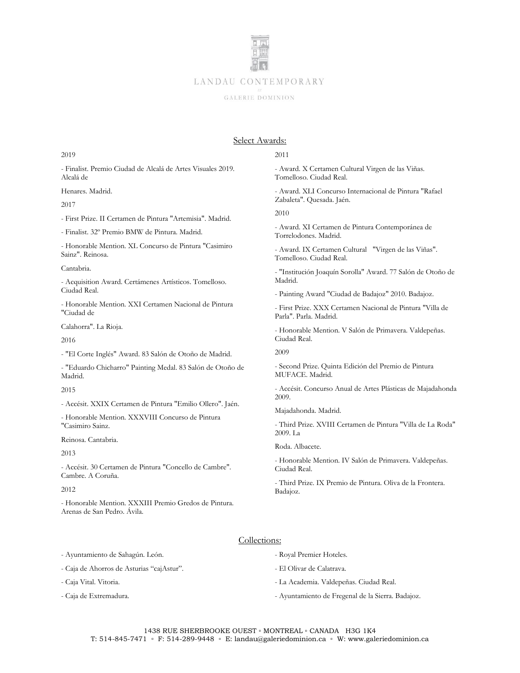

# Select Awards:

## 2019

- Finalist. Premio Ciudad de Alcalá de Artes Visuales 2019. Alcalá de

Henares. Madrid.

## 2017

- First Prize. II Certamen de Pintura "Artemisia". Madrid.

- Finalist. 32º Premio BMW de Pintura. Madrid.

- Honorable Mention. XL Concurso de Pintura "Casimiro Sainz". Reinosa.

#### Cantabria.

- Acquisition Award. Certámenes Artísticos. Tomelloso. Ciudad Real.

- Honorable Mention. XXI Certamen Nacional de Pintura "Ciudad de

Calahorra". La Rioja.

2016

- "El Corte Inglés" Award. 83 Salón de Otoño de Madrid.

- "Eduardo Chicharro" Painting Medal. 83 Salón de Otoño de Madrid.

## 2015

- Accésit. XXIX Certamen de Pintura "Emilio Ollero". Jaén.

- Honorable Mention. XXXVIII Concurso de Pintura "Casimiro Sainz.

Reinosa. Cantabria.

2013

- Accésit. 30 Certamen de Pintura "Concello de Cambre". Cambre. A Coruña.

2012

- Honorable Mention. XXXIII Premio Gredos de Pintura. Arenas de San Pedro. Ávila.

## 2011

- Award. X Certamen Cultural Virgen de las Viñas. Tomelloso. Ciudad Real.

- Award. XLI Concurso Internacional de Pintura "Rafael Zabaleta". Quesada. Jaén.

2010

- Award. XI Certamen de Pintura Contemporánea de Torrelodones. Madrid.

- Award. IX Certamen Cultural "Virgen de las Viñas". Tomelloso. Ciudad Real.

- "Institución Joaquín Sorolla" Award. 77 Salón de Otoño de Madrid.

- Painting Award "Ciudad de Badajoz" 2010. Badajoz.

- First Prize. XXX Certamen Nacional de Pintura "Villa de Parla". Parla. Madrid.

- Honorable Mention. V Salón de Primavera. Valdepeñas. Ciudad Real.

2009

- Second Prize. Quinta Edición del Premio de Pintura MUFACE. Madrid.

- Accésit. Concurso Anual de Artes Plásticas de Majadahonda 2009.

Majadahonda. Madrid.

- Third Prize. XVIII Certamen de Pintura "Villa de La Roda" 2009. La

Roda. Albacete.

- Honorable Mention. IV Salón de Primavera. Valdepeñas. Ciudad Real.

- Third Prize. IX Premio de Pintura. Oliva de la Frontera. Badajoz.

## Collections:

- Ayuntamiento de Sahagún. León.

- Caja de Ahorros de Asturias "cajAstur".

- Caja Vital. Vitoria.

- Caja de Extremadura.

- Royal Premier Hoteles.
- El Olivar de Calatrava.
- La Academia. Valdepeñas. Ciudad Real.
- Ayuntamiento de Fregenal de la Sierra. Badajoz.